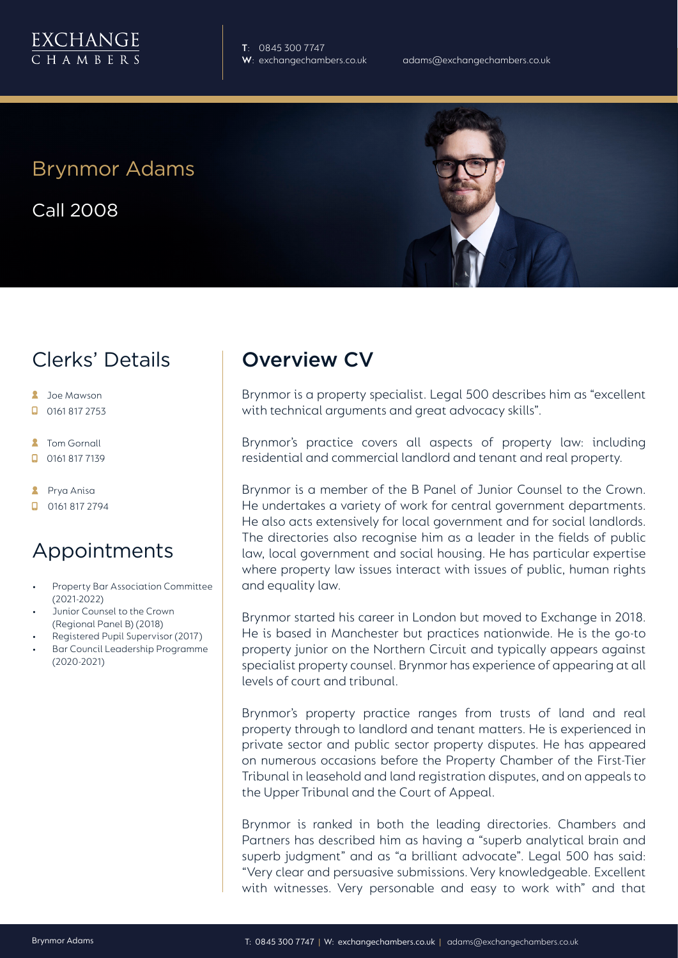

**T**: 0845 300 7747

# Brynmor Adams

Call 2008

# Clerks' Details

- **2** Joe Mawson
- $\Box$  0161 817 2753
- **2** Tom Gornall
- 0161 817 7139

**A** Prya Anisa

 $\Box$  0161 817 2794

### Appointments

- Property Bar Association Committee (2021-2022)
- Junior Counsel to the Crown (Regional Panel B) (2018)
- Registered Pupil Supervisor (2017)
- Bar Council Leadership Programme (2020-2021)

# Overview CV

Brynmor is a property specialist. Legal 500 describes him as "excellent with technical arguments and great advocacy skills".

Brynmor's practice covers all aspects of property law: including residential and commercial landlord and tenant and real property.

Brynmor is a member of the B Panel of Junior Counsel to the Crown. He undertakes a variety of work for central government departments. He also acts extensively for local government and for social landlords. The directories also recognise him as a leader in the fields of public law, local government and social housing. He has particular expertise where property law issues interact with issues of public, human rights and equality law.

Brynmor started his career in London but moved to Exchange in 2018. He is based in Manchester but practices nationwide. He is the go-to property junior on the Northern Circuit and typically appears against specialist property counsel. Brynmor has experience of appearing at all levels of court and tribunal.

Brynmor's property practice ranges from trusts of land and real property through to landlord and tenant matters. He is experienced in private sector and public sector property disputes. He has appeared on numerous occasions before the Property Chamber of the First-Tier Tribunal in leasehold and land registration disputes, and on appeals to the Upper Tribunal and the Court of Appeal.

Brynmor is ranked in both the leading directories. Chambers and Partners has described him as having a "superb analytical brain and superb judgment" and as "a brilliant advocate". Legal 500 has said: "Very clear and persuasive submissions. Very knowledgeable. Excellent with witnesses. Very personable and easy to work with" and that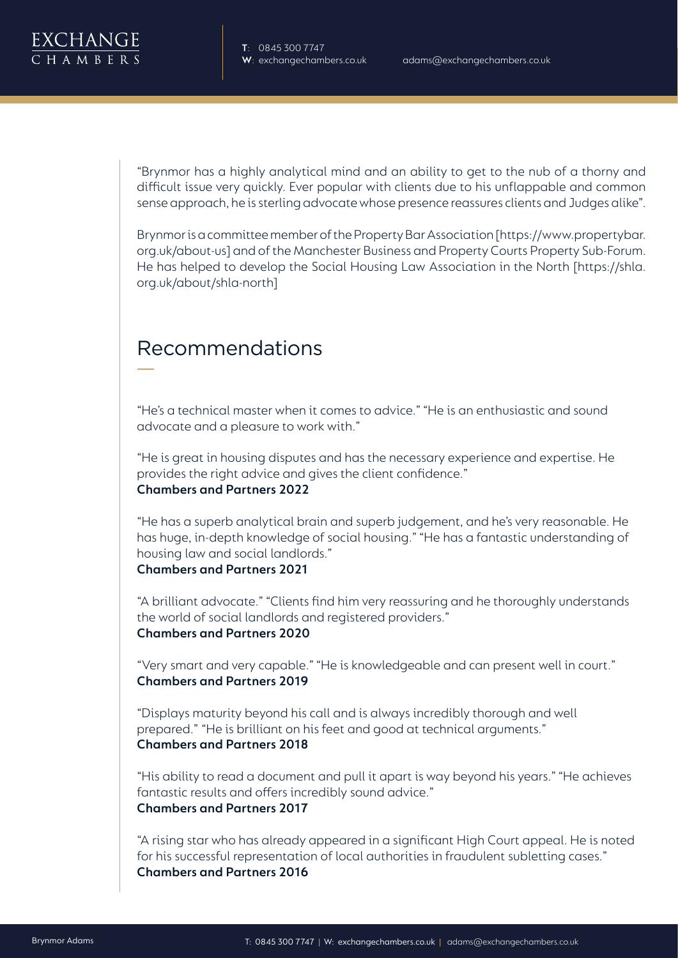"Brynmor has a highly analytical mind and an ability to get to the nub of a thorny and difficult issue very quickly. Ever popular with clients due to his unflappable and common sense approach, he is sterling advocate whose presence reassures clients and Judges alike".

Brynmor is a committee member of the Property Bar Association [https://www.propertybar. org.uk/about-us] and of the Manchester Business and Property Courts Property Sub-Forum. He has helped to develop the Social Housing Law Association in the North [https://shla. org.uk/about/shla-north]

# Recommendations

"He's a technical master when it comes to advice." "He is an enthusiastic and sound advocate and a pleasure to work with."

"He is great in housing disputes and has the necessary experience and expertise. He provides the right advice and gives the client confidence." **Chambers and Partners 2022**

"He has a superb analytical brain and superb judgement, and he's very reasonable. He has huge, in-depth knowledge of social housing." "He has a fantastic understanding of housing law and social landlords." **Chambers and Partners 2021**

"A brilliant advocate." "Clients find him very reassuring and he thoroughly understands the world of social landlords and registered providers." **Chambers and Partners 2020**

"Very smart and very capable." "He is knowledgeable and can present well in court." **Chambers and Partners 2019**

"Displays maturity beyond his call and is always incredibly thorough and well prepared." "He is brilliant on his feet and good at technical arguments." **Chambers and Partners 2018**

"His ability to read a document and pull it apart is way beyond his years." "He achieves fantastic results and offers incredibly sound advice." **Chambers and Partners 2017**

"A rising star who has already appeared in a significant High Court appeal. He is noted for his successful representation of local authorities in fraudulent subletting cases." **Chambers and Partners 2016**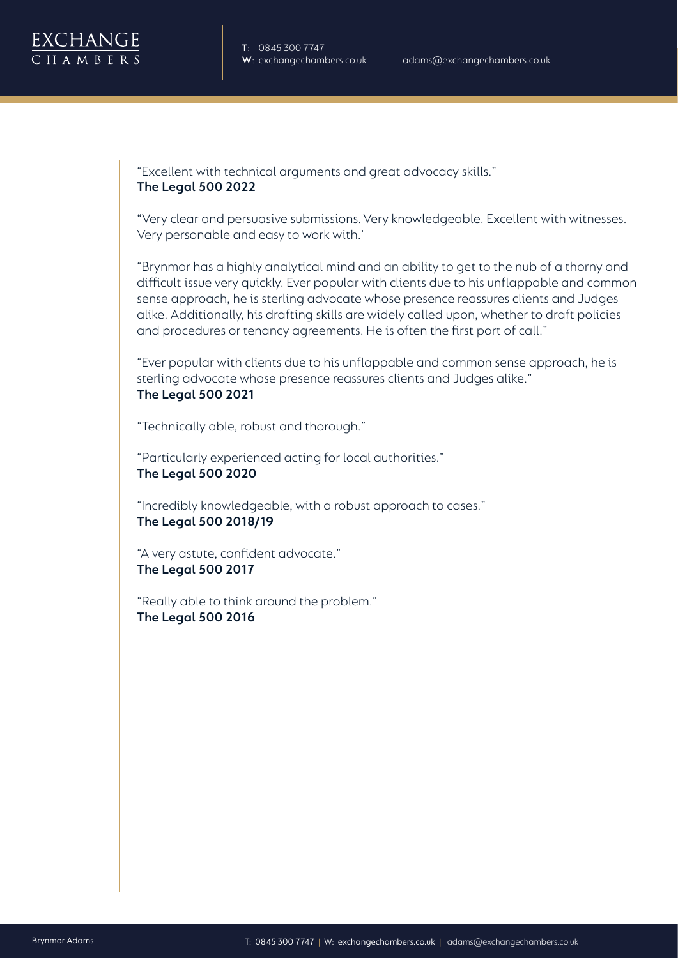"Excellent with technical arguments and great advocacy skills." **The Legal 500 2022**

"Very clear and persuasive submissions. Very knowledgeable. Excellent with witnesses. Very personable and easy to work with.'

"Brynmor has a highly analytical mind and an ability to get to the nub of a thorny and difficult issue very quickly. Ever popular with clients due to his unflappable and common sense approach, he is sterling advocate whose presence reassures clients and Judges alike. Additionally, his drafting skills are widely called upon, whether to draft policies and procedures or tenancy agreements. He is often the first port of call."

"Ever popular with clients due to his unflappable and common sense approach, he is sterling advocate whose presence reassures clients and Judges alike." **The Legal 500 2021**

"Technically able, robust and thorough."

"Particularly experienced acting for local authorities." **The Legal 500 2020**

"Incredibly knowledgeable, with a robust approach to cases." **The Legal 500 2018/19**

"A very astute, confident advocate." **The Legal 500 2017**

"Really able to think around the problem." **The Legal 500 2016**